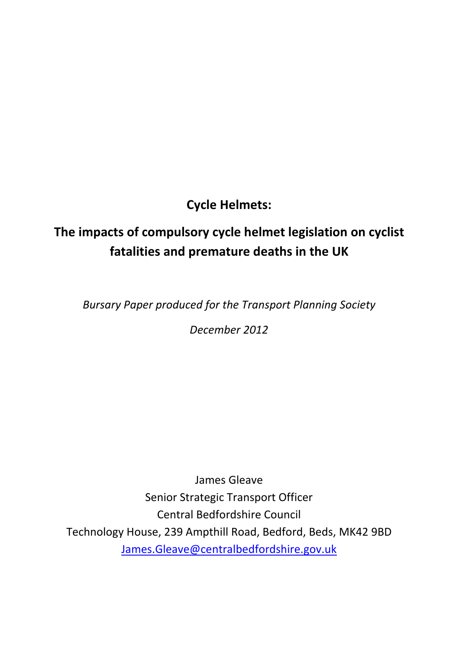Cycle Helmets:

# The impacts of compulsory cycle helmet legislation on cyclist fatalities and premature deaths in the UK

Bursary Paper produced for the Transport Planning Society

December 2012

James Gleave Senior Strategic Transport Officer Central Bedfordshire Council Technology House, 239 Ampthill Road, Bedford, Beds, MK42 9BD James.Gleave@centralbedfordshire.gov.uk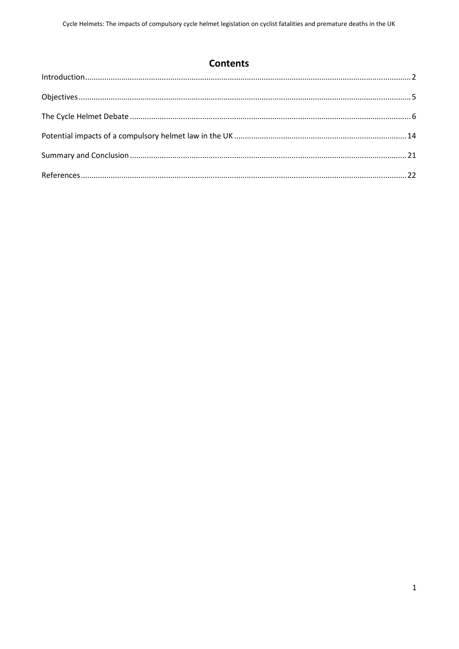# **Contents**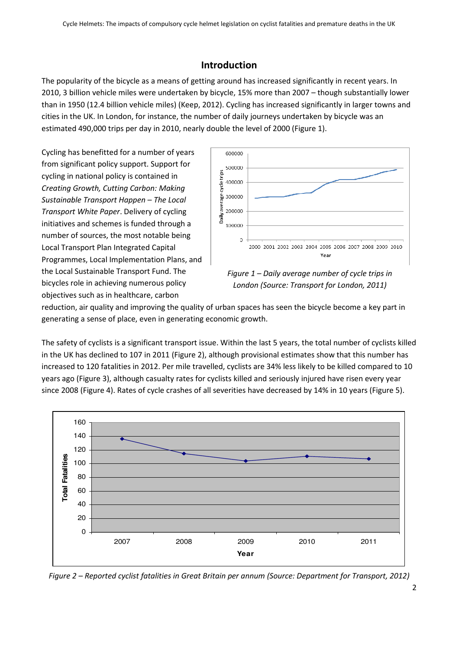# Introduction

The popularity of the bicycle as a means of getting around has increased significantly in recent years. In 2010, 3 billion vehicle miles were undertaken by bicycle, 15% more than 2007 – though substantially lower than in 1950 (12.4 billion vehicle miles) (Keep, 2012). Cycling has increased significantly in larger towns and cities in the UK. In London, for instance, the number of daily journeys undertaken by bicycle was an estimated 490,000 trips per day in 2010, nearly double the level of 2000 (Figure 1).

Cycling has benefitted for a number of years from significant policy support. Support for cycling in national policy is contained in Creating Growth, Cutting Carbon: Making Sustainable Transport Happen – The Local Transport White Paper. Delivery of cycling initiatives and schemes is funded through a number of sources, the most notable being Local Transport Plan Integrated Capital Programmes, Local Implementation Plans, and the Local Sustainable Transport Fund. The bicycles role in achieving numerous policy objectives such as in healthcare, carbon



Figure 1 – Daily average number of cycle trips in London (Source: Transport for London, 2011)

reduction, air quality and improving the quality of urban spaces has seen the bicycle become a key part in generating a sense of place, even in generating economic growth.

The safety of cyclists is a significant transport issue. Within the last 5 years, the total number of cyclists killed in the UK has declined to 107 in 2011 (Figure 2), although provisional estimates show that this number has increased to 120 fatalities in 2012. Per mile travelled, cyclists are 34% less likely to be killed compared to 10 years ago (Figure 3), although casualty rates for cyclists killed and seriously injured have risen every year since 2008 (Figure 4). Rates of cycle crashes of all severities have decreased by 14% in 10 years (Figure 5).



Figure 2 – Reported cyclist fatalities in Great Britain per annum (Source: Department for Transport, 2012)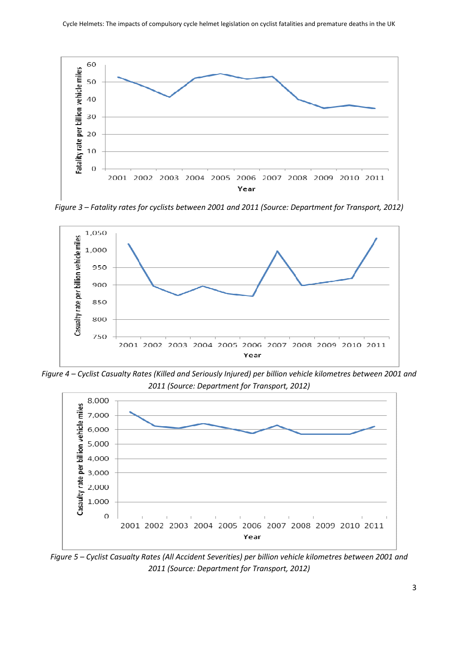

Figure 3 – Fatality rates for cyclists between 2001 and 2011 (Source: Department for Transport, 2012)



Figure 4 – Cyclist Casualty Rates (Killed and Seriously Injured) per billion vehicle kilometres between 2001 and 2011 (Source: Department for Transport, 2012)



Figure 5 – Cyclist Casualty Rates (All Accident Severities) per billion vehicle kilometres between 2001 and 2011 (Source: Department for Transport, 2012)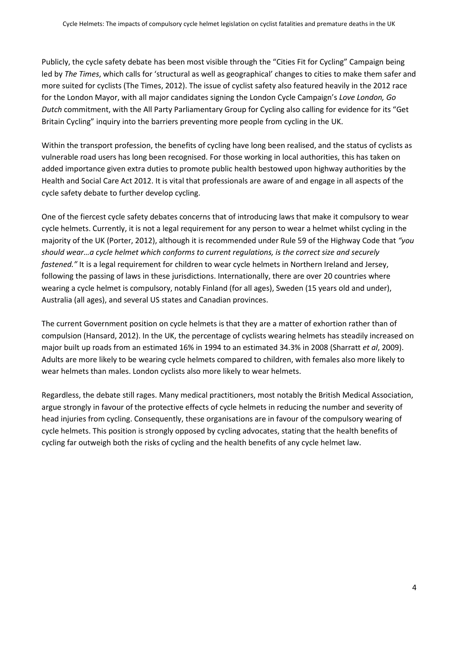Publicly, the cycle safety debate has been most visible through the "Cities Fit for Cycling" Campaign being led by The Times, which calls for 'structural as well as geographical' changes to cities to make them safer and more suited for cyclists (The Times, 2012). The issue of cyclist safety also featured heavily in the 2012 race for the London Mayor, with all major candidates signing the London Cycle Campaign's Love London, Go Dutch commitment, with the All Party Parliamentary Group for Cycling also calling for evidence for its "Get Britain Cycling" inquiry into the barriers preventing more people from cycling in the UK.

Within the transport profession, the benefits of cycling have long been realised, and the status of cyclists as vulnerable road users has long been recognised. For those working in local authorities, this has taken on added importance given extra duties to promote public health bestowed upon highway authorities by the Health and Social Care Act 2012. It is vital that professionals are aware of and engage in all aspects of the cycle safety debate to further develop cycling.

One of the fiercest cycle safety debates concerns that of introducing laws that make it compulsory to wear cycle helmets. Currently, it is not a legal requirement for any person to wear a helmet whilst cycling in the majority of the UK (Porter, 2012), although it is recommended under Rule 59 of the Highway Code that "you should wear…a cycle helmet which conforms to current regulations, is the correct size and securely fastened." It is a legal requirement for children to wear cycle helmets in Northern Ireland and Jersey, following the passing of laws in these jurisdictions. Internationally, there are over 20 countries where wearing a cycle helmet is compulsory, notably Finland (for all ages), Sweden (15 years old and under), Australia (all ages), and several US states and Canadian provinces.

The current Government position on cycle helmets is that they are a matter of exhortion rather than of compulsion (Hansard, 2012). In the UK, the percentage of cyclists wearing helmets has steadily increased on major built up roads from an estimated 16% in 1994 to an estimated 34.3% in 2008 (Sharratt et al, 2009). Adults are more likely to be wearing cycle helmets compared to children, with females also more likely to wear helmets than males. London cyclists also more likely to wear helmets.

Regardless, the debate still rages. Many medical practitioners, most notably the British Medical Association, argue strongly in favour of the protective effects of cycle helmets in reducing the number and severity of head injuries from cycling. Consequently, these organisations are in favour of the compulsory wearing of cycle helmets. This position is strongly opposed by cycling advocates, stating that the health benefits of cycling far outweigh both the risks of cycling and the health benefits of any cycle helmet law.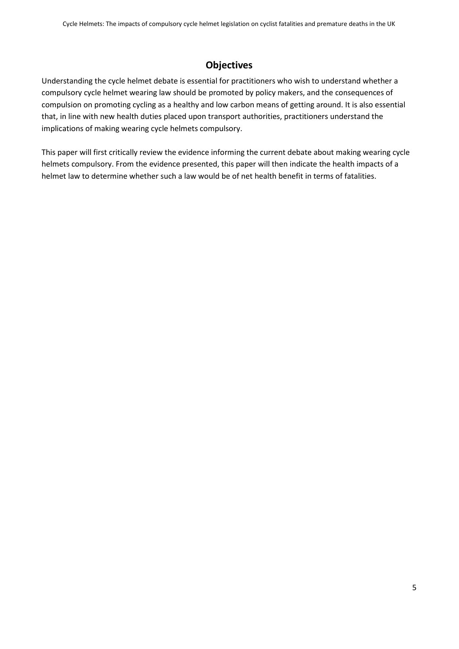# **Objectives**

Understanding the cycle helmet debate is essential for practitioners who wish to understand whether a compulsory cycle helmet wearing law should be promoted by policy makers, and the consequences of compulsion on promoting cycling as a healthy and low carbon means of getting around. It is also essential that, in line with new health duties placed upon transport authorities, practitioners understand the implications of making wearing cycle helmets compulsory.

This paper will first critically review the evidence informing the current debate about making wearing cycle helmets compulsory. From the evidence presented, this paper will then indicate the health impacts of a helmet law to determine whether such a law would be of net health benefit in terms of fatalities.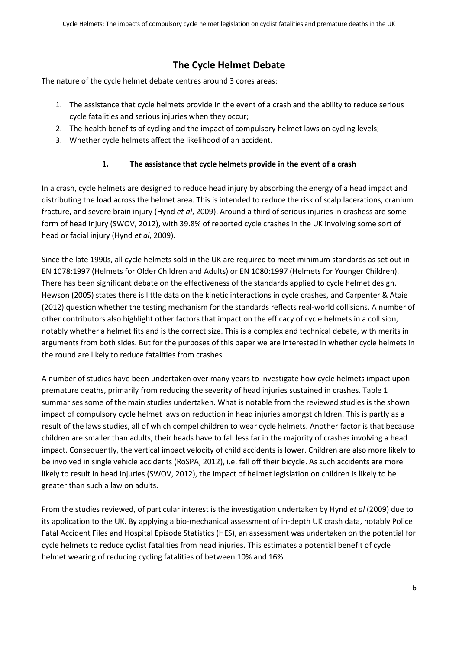# The Cycle Helmet Debate

The nature of the cycle helmet debate centres around 3 cores areas:

- 1. The assistance that cycle helmets provide in the event of a crash and the ability to reduce serious cycle fatalities and serious injuries when they occur;
- 2. The health benefits of cycling and the impact of compulsory helmet laws on cycling levels;
- 3. Whether cycle helmets affect the likelihood of an accident.

## 1. The assistance that cycle helmets provide in the event of a crash

In a crash, cycle helmets are designed to reduce head injury by absorbing the energy of a head impact and distributing the load across the helmet area. This is intended to reduce the risk of scalp lacerations, cranium fracture, and severe brain injury (Hynd et al, 2009). Around a third of serious injuries in crashess are some form of head injury (SWOV, 2012), with 39.8% of reported cycle crashes in the UK involving some sort of head or facial injury (Hynd et al, 2009).

Since the late 1990s, all cycle helmets sold in the UK are required to meet minimum standards as set out in EN 1078:1997 (Helmets for Older Children and Adults) or EN 1080:1997 (Helmets for Younger Children). There has been significant debate on the effectiveness of the standards applied to cycle helmet design. Hewson (2005) states there is little data on the kinetic interactions in cycle crashes, and Carpenter & Ataie (2012) question whether the testing mechanism for the standards reflects real-world collisions. A number of other contributors also highlight other factors that impact on the efficacy of cycle helmets in a collision, notably whether a helmet fits and is the correct size. This is a complex and technical debate, with merits in arguments from both sides. But for the purposes of this paper we are interested in whether cycle helmets in the round are likely to reduce fatalities from crashes.

A number of studies have been undertaken over many years to investigate how cycle helmets impact upon premature deaths, primarily from reducing the severity of head injuries sustained in crashes. Table 1 summarises some of the main studies undertaken. What is notable from the reviewed studies is the shown impact of compulsory cycle helmet laws on reduction in head injuries amongst children. This is partly as a result of the laws studies, all of which compel children to wear cycle helmets. Another factor is that because children are smaller than adults, their heads have to fall less far in the majority of crashes involving a head impact. Consequently, the vertical impact velocity of child accidents is lower. Children are also more likely to be involved in single vehicle accidents (RoSPA, 2012), i.e. fall off their bicycle. As such accidents are more likely to result in head injuries (SWOV, 2012), the impact of helmet legislation on children is likely to be greater than such a law on adults.

From the studies reviewed, of particular interest is the investigation undertaken by Hynd et al (2009) due to its application to the UK. By applying a bio-mechanical assessment of in-depth UK crash data, notably Police Fatal Accident Files and Hospital Episode Statistics (HES), an assessment was undertaken on the potential for cycle helmets to reduce cyclist fatalities from head injuries. This estimates a potential benefit of cycle helmet wearing of reducing cycling fatalities of between 10% and 16%.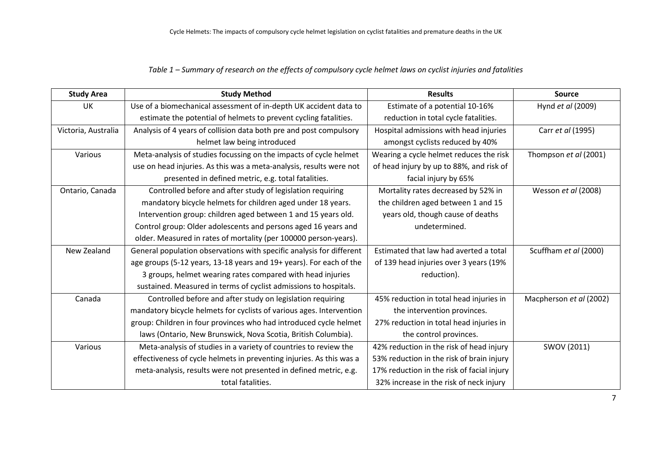#### Table 1 – Summary of research on the effects of compulsory cycle helmet laws on cyclist injuries and fatalities

| <b>Study Area</b>   | <b>Study Method</b>                                                  | <b>Results</b>                                                  | <b>Source</b>           |
|---------------------|----------------------------------------------------------------------|-----------------------------------------------------------------|-------------------------|
| <b>UK</b>           | Use of a biomechanical assessment of in-depth UK accident data to    | Estimate of a potential 10-16%                                  | Hynd et al (2009)       |
|                     | estimate the potential of helmets to prevent cycling fatalities.     | reduction in total cycle fatalities.                            |                         |
| Victoria, Australia | Analysis of 4 years of collision data both pre and post compulsory   | Hospital admissions with head injuries                          | Carr et al (1995)       |
|                     | helmet law being introduced                                          | amongst cyclists reduced by 40%                                 |                         |
| Various             | Meta-analysis of studies focussing on the impacts of cycle helmet    | Wearing a cycle helmet reduces the risk                         | Thompson et al (2001)   |
|                     | use on head injuries. As this was a meta-analysis, results were not  | of head injury by up to 88%, and risk of                        |                         |
|                     | presented in defined metric, e.g. total fatalities.                  | facial injury by 65%                                            |                         |
| Ontario, Canada     | Controlled before and after study of legislation requiring           | Mortality rates decreased by 52% in                             | Wesson et al (2008)     |
|                     | mandatory bicycle helmets for children aged under 18 years.          | the children aged between 1 and 15                              |                         |
|                     | Intervention group: children aged between 1 and 15 years old.        | years old, though cause of deaths                               |                         |
|                     | Control group: Older adolescents and persons aged 16 years and       | undetermined.                                                   |                         |
|                     | older. Measured in rates of mortality (per 100000 person-years).     |                                                                 |                         |
| New Zealand         | General population observations with specific analysis for different | Estimated that law had averted a total<br>Scuffham et al (2000) |                         |
|                     | age groups (5-12 years, 13-18 years and 19+ years). For each of the  | of 139 head injuries over 3 years (19%                          |                         |
|                     | 3 groups, helmet wearing rates compared with head injuries           | reduction).                                                     |                         |
|                     | sustained. Measured in terms of cyclist admissions to hospitals.     |                                                                 |                         |
| Canada              | Controlled before and after study on legislation requiring           | 45% reduction in total head injuries in                         | Macpherson et al (2002) |
|                     | mandatory bicycle helmets for cyclists of various ages. Intervention | the intervention provinces.                                     |                         |
|                     | group: Children in four provinces who had introduced cycle helmet    | 27% reduction in total head injuries in                         |                         |
|                     | laws (Ontario, New Brunswick, Nova Scotia, British Columbia).        | the control provinces.                                          |                         |
| Various             | Meta-analysis of studies in a variety of countries to review the     | 42% reduction in the risk of head injury                        | SWOV (2011)             |
|                     | effectiveness of cycle helmets in preventing injuries. As this was a | 53% reduction in the risk of brain injury                       |                         |
|                     | meta-analysis, results were not presented in defined metric, e.g.    | 17% reduction in the risk of facial injury                      |                         |
|                     | total fatalities.                                                    | 32% increase in the risk of neck injury                         |                         |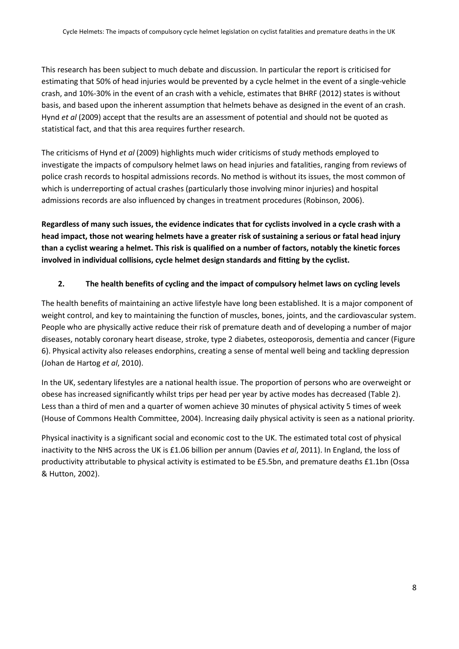This research has been subject to much debate and discussion. In particular the report is criticised for estimating that 50% of head injuries would be prevented by a cycle helmet in the event of a single-vehicle crash, and 10%-30% in the event of an crash with a vehicle, estimates that BHRF (2012) states is without basis, and based upon the inherent assumption that helmets behave as designed in the event of an crash. Hynd et al (2009) accept that the results are an assessment of potential and should not be quoted as statistical fact, and that this area requires further research.

The criticisms of Hynd et al (2009) highlights much wider criticisms of study methods employed to investigate the impacts of compulsory helmet laws on head injuries and fatalities, ranging from reviews of police crash records to hospital admissions records. No method is without its issues, the most common of which is underreporting of actual crashes (particularly those involving minor injuries) and hospital admissions records are also influenced by changes in treatment procedures (Robinson, 2006).

Regardless of many such issues, the evidence indicates that for cyclists involved in a cycle crash with a head impact, those not wearing helmets have a greater risk of sustaining a serious or fatal head injury than a cyclist wearing a helmet. This risk is qualified on a number of factors, notably the kinetic forces involved in individual collisions, cycle helmet design standards and fitting by the cyclist.

#### 2. The health benefits of cycling and the impact of compulsory helmet laws on cycling levels

The health benefits of maintaining an active lifestyle have long been established. It is a major component of weight control, and key to maintaining the function of muscles, bones, joints, and the cardiovascular system. People who are physically active reduce their risk of premature death and of developing a number of major diseases, notably coronary heart disease, stroke, type 2 diabetes, osteoporosis, dementia and cancer (Figure 6). Physical activity also releases endorphins, creating a sense of mental well being and tackling depression (Johan de Hartog et al, 2010).

In the UK, sedentary lifestyles are a national health issue. The proportion of persons who are overweight or obese has increased significantly whilst trips per head per year by active modes has decreased (Table 2). Less than a third of men and a quarter of women achieve 30 minutes of physical activity 5 times of week (House of Commons Health Committee, 2004). Increasing daily physical activity is seen as a national priority.

Physical inactivity is a significant social and economic cost to the UK. The estimated total cost of physical inactivity to the NHS across the UK is £1.06 billion per annum (Davies et al, 2011). In England, the loss of productivity attributable to physical activity is estimated to be £5.5bn, and premature deaths £1.1bn (Ossa & Hutton, 2002).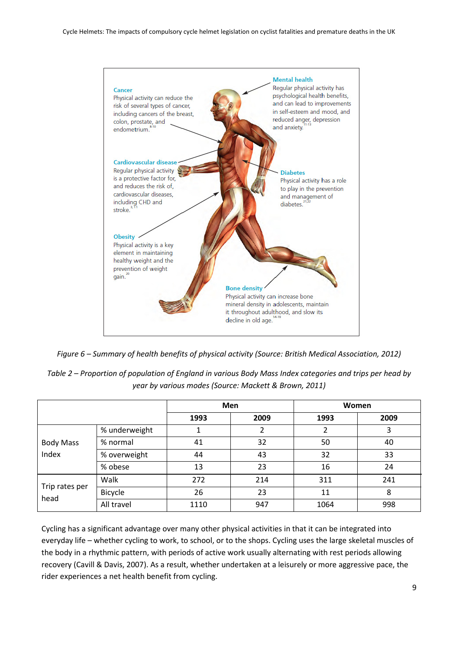

Figure 6 – Summary of health benefits of physical activity (Source: British Medical Association, 2012)

| Table 2 – Proportion of population of England in various Body Mass Index categories and trips per head by |
|-----------------------------------------------------------------------------------------------------------|
| year by various modes (Source: Mackett & Brown, 2011)                                                     |

|                           |                | <b>Men</b> |      | Women |      |
|---------------------------|----------------|------------|------|-------|------|
|                           |                | 1993       | 2009 | 1993  | 2009 |
|                           | % underweight  |            |      | 2     | 3    |
| <b>Body Mass</b><br>Index | % normal       | 41         | 32   | 50    | 40   |
|                           | % overweight   | 44         | 43   | 32    | 33   |
|                           | % obese        | 13         | 23   | 16    | 24   |
| Trip rates per<br>head    | Walk           | 272        | 214  | 311   | 241  |
|                           | <b>Bicycle</b> | 26         | 23   | 11    | 8    |
|                           | All travel     | 1110       | 947  | 1064  | 998  |

Cycling has a significant advantage over many other physical activities in that it can be integrated into everyday life – whether cycling to work, to school, or to the shops. Cycling uses the large skeletal muscles of the body in a rhythmic pattern, with periods of active work usually alternating with rest periods allowing recovery (Cavill & Davis, 2007). As a result, whether undertaken at a leisurely or more aggressive pace, the rider experiences a net health benefit from cycling.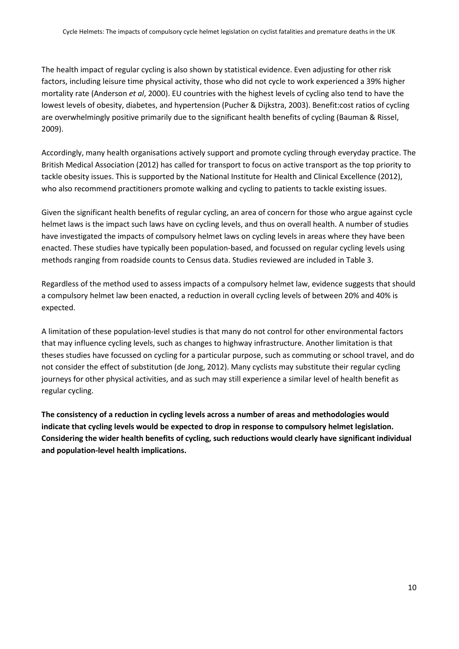The health impact of regular cycling is also shown by statistical evidence. Even adjusting for other risk factors, including leisure time physical activity, those who did not cycle to work experienced a 39% higher mortality rate (Anderson et al, 2000). EU countries with the highest levels of cycling also tend to have the lowest levels of obesity, diabetes, and hypertension (Pucher & Dijkstra, 2003). Benefit:cost ratios of cycling are overwhelmingly positive primarily due to the significant health benefits of cycling (Bauman & Rissel, 2009).

Accordingly, many health organisations actively support and promote cycling through everyday practice. The British Medical Association (2012) has called for transport to focus on active transport as the top priority to tackle obesity issues. This is supported by the National Institute for Health and Clinical Excellence (2012), who also recommend practitioners promote walking and cycling to patients to tackle existing issues.

Given the significant health benefits of regular cycling, an area of concern for those who argue against cycle helmet laws is the impact such laws have on cycling levels, and thus on overall health. A number of studies have investigated the impacts of compulsory helmet laws on cycling levels in areas where they have been enacted. These studies have typically been population-based, and focussed on regular cycling levels using methods ranging from roadside counts to Census data. Studies reviewed are included in Table 3.

Regardless of the method used to assess impacts of a compulsory helmet law, evidence suggests that should a compulsory helmet law been enacted, a reduction in overall cycling levels of between 20% and 40% is expected.

A limitation of these population-level studies is that many do not control for other environmental factors that may influence cycling levels, such as changes to highway infrastructure. Another limitation is that theses studies have focussed on cycling for a particular purpose, such as commuting or school travel, and do not consider the effect of substitution (de Jong, 2012). Many cyclists may substitute their regular cycling journeys for other physical activities, and as such may still experience a similar level of health benefit as regular cycling.

The consistency of a reduction in cycling levels across a number of areas and methodologies would indicate that cycling levels would be expected to drop in response to compulsory helmet legislation. Considering the wider health benefits of cycling, such reductions would clearly have significant individual and population-level health implications.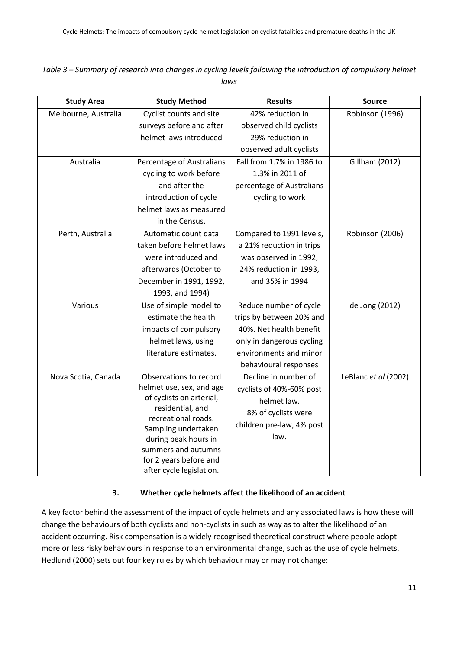| Table 3 – Summary of research into changes in cycling levels following the introduction of compulsory helmet |
|--------------------------------------------------------------------------------------------------------------|
| laws                                                                                                         |

| <b>Study Area</b>    | <b>Study Method</b>                        | <b>Results</b>            | <b>Source</b>         |
|----------------------|--------------------------------------------|---------------------------|-----------------------|
| Melbourne, Australia | Cyclist counts and site                    | 42% reduction in          | Robinson (1996)       |
|                      | surveys before and after                   | observed child cyclists   |                       |
|                      | helmet laws introduced                     | 29% reduction in          |                       |
|                      |                                            | observed adult cyclists   |                       |
| Australia            | Percentage of Australians                  | Fall from 1.7% in 1986 to | <b>Gillham (2012)</b> |
|                      | cycling to work before                     | 1.3% in 2011 of           |                       |
|                      | and after the                              | percentage of Australians |                       |
|                      | introduction of cycle                      | cycling to work           |                       |
|                      | helmet laws as measured                    |                           |                       |
|                      | in the Census.                             |                           |                       |
| Perth, Australia     | Automatic count data                       | Compared to 1991 levels,  | Robinson (2006)       |
|                      | taken before helmet laws                   | a 21% reduction in trips  |                       |
|                      | were introduced and                        | was observed in 1992,     |                       |
|                      | afterwards (October to                     | 24% reduction in 1993,    |                       |
|                      | December in 1991, 1992,                    | and 35% in 1994           |                       |
|                      | 1993, and 1994)                            |                           |                       |
| Various              | Use of simple model to                     | Reduce number of cycle    | de Jong (2012)        |
|                      | estimate the health                        | trips by between 20% and  |                       |
|                      | impacts of compulsory                      | 40%. Net health benefit   |                       |
|                      | helmet laws, using                         | only in dangerous cycling |                       |
|                      | literature estimates.                      | environments and minor    |                       |
|                      |                                            | behavioural responses     |                       |
| Nova Scotia, Canada  | Observations to record                     | Decline in number of      | LeBlanc et al (2002)  |
|                      | helmet use, sex, and age                   | cyclists of 40%-60% post  |                       |
|                      | of cyclists on arterial,                   | helmet law.               |                       |
|                      | residential, and                           | 8% of cyclists were       |                       |
|                      | recreational roads.<br>Sampling undertaken | children pre-law, 4% post |                       |
|                      | during peak hours in                       | law.                      |                       |
|                      | summers and autumns                        |                           |                       |
|                      | for 2 years before and                     |                           |                       |
|                      | after cycle legislation.                   |                           |                       |

#### 3. Whether cycle helmets affect the likelihood of an accident

A key factor behind the assessment of the impact of cycle helmets and any associated laws is how these will change the behaviours of both cyclists and non-cyclists in such as way as to alter the likelihood of an accident occurring. Risk compensation is a widely recognised theoretical construct where people adopt more or less risky behaviours in response to an environmental change, such as the use of cycle helmets. Hedlund (2000) sets out four key rules by which behaviour may or may not change: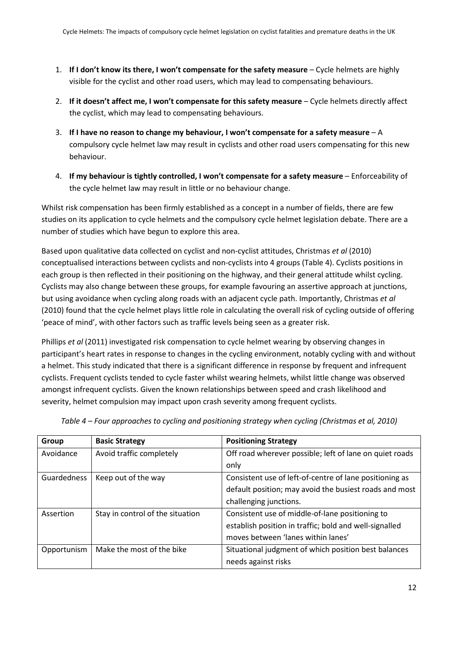- 1. If I don't know its there, I won't compensate for the safety measure Cycle helmets are highly visible for the cyclist and other road users, which may lead to compensating behaviours.
- 2. If it doesn't affect me, I won't compensate for this safety measure Cycle helmets directly affect the cyclist, which may lead to compensating behaviours.
- 3. If I have no reason to change my behaviour, I won't compensate for a safety measure A compulsory cycle helmet law may result in cyclists and other road users compensating for this new behaviour.
- 4. If my behaviour is tightly controlled, I won't compensate for a safety measure Enforceability of the cycle helmet law may result in little or no behaviour change.

Whilst risk compensation has been firmly established as a concept in a number of fields, there are few studies on its application to cycle helmets and the compulsory cycle helmet legislation debate. There are a number of studies which have begun to explore this area.

Based upon qualitative data collected on cyclist and non-cyclist attitudes, Christmas et al (2010) conceptualised interactions between cyclists and non-cyclists into 4 groups (Table 4). Cyclists positions in each group is then reflected in their positioning on the highway, and their general attitude whilst cycling. Cyclists may also change between these groups, for example favouring an assertive approach at junctions, but using avoidance when cycling along roads with an adjacent cycle path. Importantly, Christmas et al (2010) found that the cycle helmet plays little role in calculating the overall risk of cycling outside of offering 'peace of mind', with other factors such as traffic levels being seen as a greater risk.

Phillips et al (2011) investigated risk compensation to cycle helmet wearing by observing changes in participant's heart rates in response to changes in the cycling environment, notably cycling with and without a helmet. This study indicated that there is a significant difference in response by frequent and infrequent cyclists. Frequent cyclists tended to cycle faster whilst wearing helmets, whilst little change was observed amongst infrequent cyclists. Given the known relationships between speed and crash likelihood and severity, helmet compulsion may impact upon crash severity among frequent cyclists.

| Group       | <b>Basic Strategy</b>            | <b>Positioning Strategy</b>                             |
|-------------|----------------------------------|---------------------------------------------------------|
| Avoidance   | Avoid traffic completely         | Off road wherever possible; left of lane on quiet roads |
|             |                                  | only                                                    |
| Guardedness | Keep out of the way              | Consistent use of left-of-centre of lane positioning as |
|             |                                  | default position; may avoid the busiest roads and most  |
|             |                                  | challenging junctions.                                  |
| Assertion   | Stay in control of the situation | Consistent use of middle-of-lane positioning to         |
|             |                                  | establish position in traffic; bold and well-signalled  |
|             |                                  | moves between 'lanes within lanes'                      |
| Opportunism | Make the most of the bike        | Situational judgment of which position best balances    |
|             |                                  | needs against risks                                     |

Table 4 – Four approaches to cycling and positioning strategy when cycling (Christmas et al, 2010)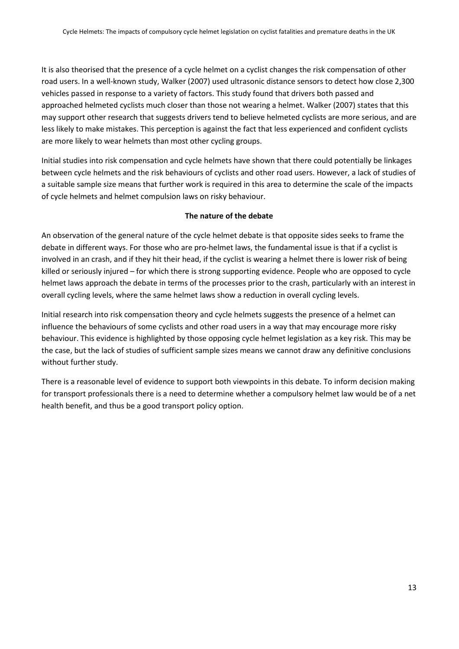It is also theorised that the presence of a cycle helmet on a cyclist changes the risk compensation of other road users. In a well-known study, Walker (2007) used ultrasonic distance sensors to detect how close 2,300 vehicles passed in response to a variety of factors. This study found that drivers both passed and approached helmeted cyclists much closer than those not wearing a helmet. Walker (2007) states that this may support other research that suggests drivers tend to believe helmeted cyclists are more serious, and are less likely to make mistakes. This perception is against the fact that less experienced and confident cyclists are more likely to wear helmets than most other cycling groups.

Initial studies into risk compensation and cycle helmets have shown that there could potentially be linkages between cycle helmets and the risk behaviours of cyclists and other road users. However, a lack of studies of a suitable sample size means that further work is required in this area to determine the scale of the impacts of cycle helmets and helmet compulsion laws on risky behaviour.

#### The nature of the debate

An observation of the general nature of the cycle helmet debate is that opposite sides seeks to frame the debate in different ways. For those who are pro-helmet laws, the fundamental issue is that if a cyclist is involved in an crash, and if they hit their head, if the cyclist is wearing a helmet there is lower risk of being killed or seriously injured – for which there is strong supporting evidence. People who are opposed to cycle helmet laws approach the debate in terms of the processes prior to the crash, particularly with an interest in overall cycling levels, where the same helmet laws show a reduction in overall cycling levels.

Initial research into risk compensation theory and cycle helmets suggests the presence of a helmet can influence the behaviours of some cyclists and other road users in a way that may encourage more risky behaviour. This evidence is highlighted by those opposing cycle helmet legislation as a key risk. This may be the case, but the lack of studies of sufficient sample sizes means we cannot draw any definitive conclusions without further study.

There is a reasonable level of evidence to support both viewpoints in this debate. To inform decision making for transport professionals there is a need to determine whether a compulsory helmet law would be of a net health benefit, and thus be a good transport policy option.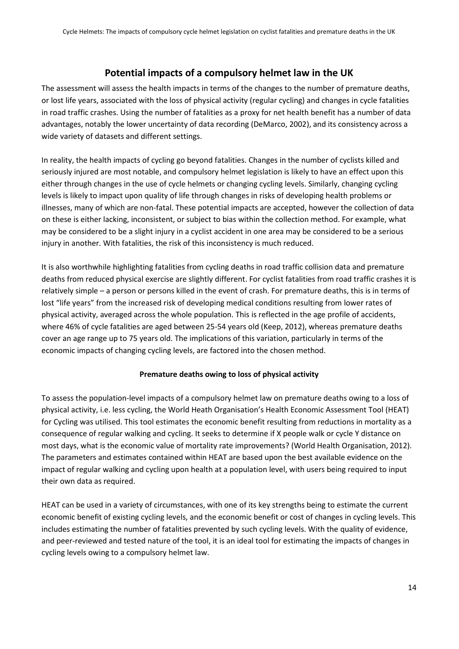## Potential impacts of a compulsory helmet law in the UK

The assessment will assess the health impacts in terms of the changes to the number of premature deaths, or lost life years, associated with the loss of physical activity (regular cycling) and changes in cycle fatalities in road traffic crashes. Using the number of fatalities as a proxy for net health benefit has a number of data advantages, notably the lower uncertainty of data recording (DeMarco, 2002), and its consistency across a wide variety of datasets and different settings.

In reality, the health impacts of cycling go beyond fatalities. Changes in the number of cyclists killed and seriously injured are most notable, and compulsory helmet legislation is likely to have an effect upon this either through changes in the use of cycle helmets or changing cycling levels. Similarly, changing cycling levels is likely to impact upon quality of life through changes in risks of developing health problems or illnesses, many of which are non-fatal. These potential impacts are accepted, however the collection of data on these is either lacking, inconsistent, or subject to bias within the collection method. For example, what may be considered to be a slight injury in a cyclist accident in one area may be considered to be a serious injury in another. With fatalities, the risk of this inconsistency is much reduced.

It is also worthwhile highlighting fatalities from cycling deaths in road traffic collision data and premature deaths from reduced physical exercise are slightly different. For cyclist fatalities from road traffic crashes it is relatively simple – a person or persons killed in the event of crash. For premature deaths, this is in terms of lost "life years" from the increased risk of developing medical conditions resulting from lower rates of physical activity, averaged across the whole population. This is reflected in the age profile of accidents, where 46% of cycle fatalities are aged between 25-54 years old (Keep, 2012), whereas premature deaths cover an age range up to 75 years old. The implications of this variation, particularly in terms of the economic impacts of changing cycling levels, are factored into the chosen method.

#### Premature deaths owing to loss of physical activity

To assess the population-level impacts of a compulsory helmet law on premature deaths owing to a loss of physical activity, i.e. less cycling, the World Heath Organisation's Health Economic Assessment Tool (HEAT) for Cycling was utilised. This tool estimates the economic benefit resulting from reductions in mortality as a consequence of regular walking and cycling. It seeks to determine if X people walk or cycle Y distance on most days, what is the economic value of mortality rate improvements? (World Health Organisation, 2012). The parameters and estimates contained within HEAT are based upon the best available evidence on the impact of regular walking and cycling upon health at a population level, with users being required to input their own data as required.

HEAT can be used in a variety of circumstances, with one of its key strengths being to estimate the current economic benefit of existing cycling levels, and the economic benefit or cost of changes in cycling levels. This includes estimating the number of fatalities prevented by such cycling levels. With the quality of evidence, and peer-reviewed and tested nature of the tool, it is an ideal tool for estimating the impacts of changes in cycling levels owing to a compulsory helmet law.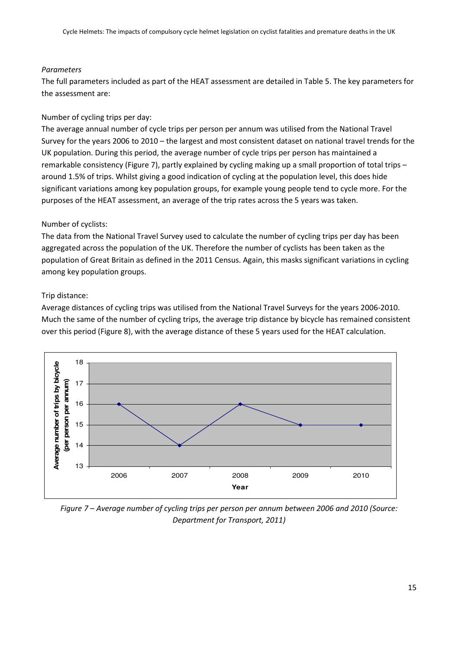#### Parameters

The full parameters included as part of the HEAT assessment are detailed in Table 5. The key parameters for the assessment are:

#### Number of cycling trips per day:

The average annual number of cycle trips per person per annum was utilised from the National Travel Survey for the years 2006 to 2010 – the largest and most consistent dataset on national travel trends for the UK population. During this period, the average number of cycle trips per person has maintained a remarkable consistency (Figure 7), partly explained by cycling making up a small proportion of total trips – around 1.5% of trips. Whilst giving a good indication of cycling at the population level, this does hide significant variations among key population groups, for example young people tend to cycle more. For the purposes of the HEAT assessment, an average of the trip rates across the 5 years was taken.

#### Number of cyclists:

The data from the National Travel Survey used to calculate the number of cycling trips per day has been aggregated across the population of the UK. Therefore the number of cyclists has been taken as the population of Great Britain as defined in the 2011 Census. Again, this masks significant variations in cycling among key population groups.

#### Trip distance:

Average distances of cycling trips was utilised from the National Travel Surveys for the years 2006-2010. Much the same of the number of cycling trips, the average trip distance by bicycle has remained consistent over this period (Figure 8), with the average distance of these 5 years used for the HEAT calculation.



Figure 7 – Average number of cycling trips per person per annum between 2006 and 2010 (Source: Department for Transport, 2011)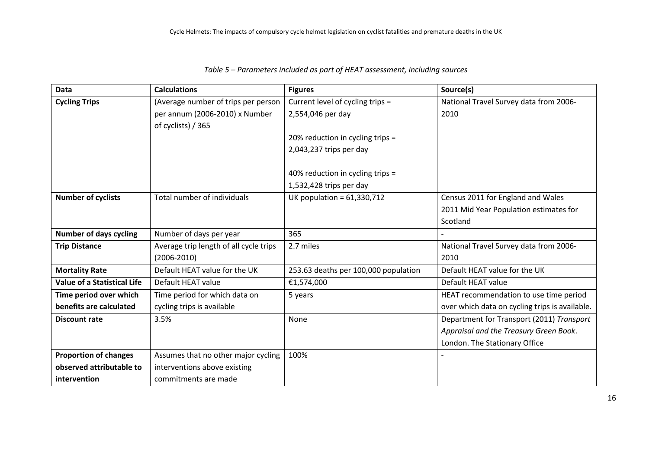| <b>Data</b>                        | <b>Calculations</b>                    | <b>Figures</b>                       | Source(s)                                      |
|------------------------------------|----------------------------------------|--------------------------------------|------------------------------------------------|
| <b>Cycling Trips</b>               | (Average number of trips per person    | Current level of cycling trips =     | National Travel Survey data from 2006-         |
|                                    | per annum (2006-2010) x Number         | 2,554,046 per day                    | 2010                                           |
|                                    | of cyclists) / 365                     |                                      |                                                |
|                                    |                                        | 20% reduction in cycling trips =     |                                                |
|                                    |                                        | 2,043,237 trips per day              |                                                |
|                                    |                                        |                                      |                                                |
|                                    |                                        | 40% reduction in cycling trips =     |                                                |
|                                    |                                        | $1,532,428$ trips per day            |                                                |
| <b>Number of cyclists</b>          | Total number of individuals            | UK population = $61,330,712$         | Census 2011 for England and Wales              |
|                                    |                                        |                                      | 2011 Mid Year Population estimates for         |
|                                    |                                        |                                      | Scotland                                       |
| <b>Number of days cycling</b>      | Number of days per year                | 365                                  |                                                |
| <b>Trip Distance</b>               | Average trip length of all cycle trips | 2.7 miles                            | National Travel Survey data from 2006-         |
|                                    | $(2006 - 2010)$                        |                                      | 2010                                           |
| <b>Mortality Rate</b>              | Default HEAT value for the UK          | 253.63 deaths per 100,000 population | Default HEAT value for the UK                  |
| <b>Value of a Statistical Life</b> | Default HEAT value                     | €1,574,000                           | Default HEAT value                             |
| Time period over which             | Time period for which data on          | 5 years                              | HEAT recommendation to use time period         |
| benefits are calculated            | cycling trips is available             |                                      | over which data on cycling trips is available. |
| Discount rate                      | 3.5%                                   | None                                 | Department for Transport (2011) Transport      |
|                                    |                                        |                                      | Appraisal and the Treasury Green Book.         |
|                                    |                                        |                                      | London. The Stationary Office                  |
| <b>Proportion of changes</b>       | Assumes that no other major cycling    | 100%                                 |                                                |
| observed attributable to           | interventions above existing           |                                      |                                                |
| intervention                       | commitments are made                   |                                      |                                                |

#### Table 5 – Parameters included as part of HEAT assessment, including sources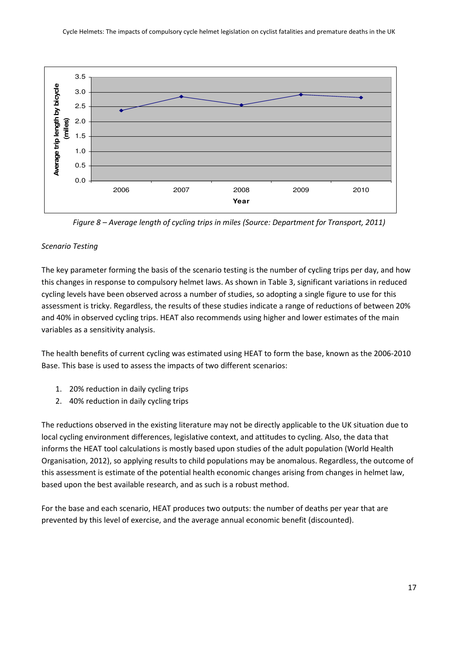

Figure 8 – Average length of cycling trips in miles (Source: Department for Transport, 2011)

#### Scenario Testing

The key parameter forming the basis of the scenario testing is the number of cycling trips per day, and how this changes in response to compulsory helmet laws. As shown in Table 3, significant variations in reduced cycling levels have been observed across a number of studies, so adopting a single figure to use for this assessment is tricky. Regardless, the results of these studies indicate a range of reductions of between 20% and 40% in observed cycling trips. HEAT also recommends using higher and lower estimates of the main variables as a sensitivity analysis.

The health benefits of current cycling was estimated using HEAT to form the base, known as the 2006-2010 Base. This base is used to assess the impacts of two different scenarios:

- 1. 20% reduction in daily cycling trips
- 2. 40% reduction in daily cycling trips

The reductions observed in the existing literature may not be directly applicable to the UK situation due to local cycling environment differences, legislative context, and attitudes to cycling. Also, the data that informs the HEAT tool calculations is mostly based upon studies of the adult population (World Health Organisation, 2012), so applying results to child populations may be anomalous. Regardless, the outcome of this assessment is estimate of the potential health economic changes arising from changes in helmet law, based upon the best available research, and as such is a robust method.

For the base and each scenario, HEAT produces two outputs: the number of deaths per year that are prevented by this level of exercise, and the average annual economic benefit (discounted).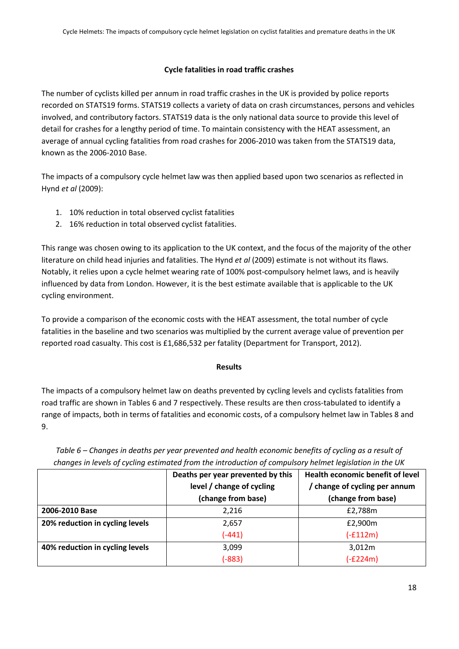#### Cycle fatalities in road traffic crashes

The number of cyclists killed per annum in road traffic crashes in the UK is provided by police reports recorded on STATS19 forms. STATS19 collects a variety of data on crash circumstances, persons and vehicles involved, and contributory factors. STATS19 data is the only national data source to provide this level of detail for crashes for a lengthy period of time. To maintain consistency with the HEAT assessment, an average of annual cycling fatalities from road crashes for 2006-2010 was taken from the STATS19 data, known as the 2006-2010 Base.

The impacts of a compulsory cycle helmet law was then applied based upon two scenarios as reflected in Hynd et al (2009):

- 1. 10% reduction in total observed cyclist fatalities
- 2. 16% reduction in total observed cyclist fatalities.

This range was chosen owing to its application to the UK context, and the focus of the majority of the other literature on child head injuries and fatalities. The Hynd et al (2009) estimate is not without its flaws. Notably, it relies upon a cycle helmet wearing rate of 100% post-compulsory helmet laws, and is heavily influenced by data from London. However, it is the best estimate available that is applicable to the UK cycling environment.

To provide a comparison of the economic costs with the HEAT assessment, the total number of cycle fatalities in the baseline and two scenarios was multiplied by the current average value of prevention per reported road casualty. This cost is £1,686,532 per fatality (Department for Transport, 2012).

#### Results

The impacts of a compulsory helmet law on deaths prevented by cycling levels and cyclists fatalities from road traffic are shown in Tables 6 and 7 respectively. These results are then cross-tabulated to identify a range of impacts, both in terms of fatalities and economic costs, of a compulsory helmet law in Tables 8 and 9.

|                                 | Deaths per year prevented by this | Health economic benefit of level |
|---------------------------------|-----------------------------------|----------------------------------|
|                                 | level / change of cycling         | / change of cycling per annum    |
|                                 | (change from base)                | (change from base)               |
| 2006-2010 Base                  | 2,216                             | £2,788m                          |
| 20% reduction in cycling levels | 2,657                             | £2,900m                          |
|                                 | $(-441)$                          | $(-£112m)$                       |
| 40% reduction in cycling levels | 3,099                             | 3,012m                           |
|                                 | $(-883)$                          | $(-E224m)$                       |

Table 6 – Changes in deaths per year prevented and health economic benefits of cycling as a result of changes in levels of cycling estimated from the introduction of compulsory helmet legislation in the UK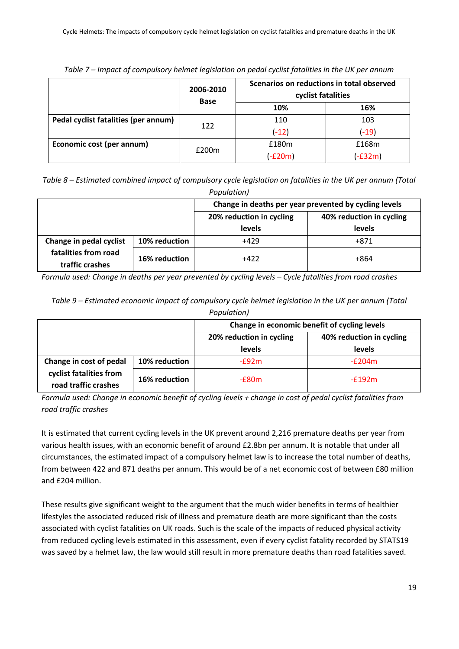|                                      | 2006-2010<br><b>Base</b> | Scenarios on reductions in total observed<br>cyclist fatalities |           |
|--------------------------------------|--------------------------|-----------------------------------------------------------------|-----------|
|                                      |                          | 10%                                                             | 16%       |
| Pedal cyclist fatalities (per annum) | 122                      | 110                                                             | 103       |
|                                      |                          | $(-12)$                                                         | $(-19)$   |
| Economic cost (per annum)            | £200m                    | £180m                                                           | £168m     |
|                                      |                          | $(-£20m)$                                                       | $(-E32m)$ |

Table 7 – Impact of compulsory helmet legislation on pedal cyclist fatalities in the UK per annum

Table 8 – Estimated combined impact of compulsory cycle legislation on fatalities in the UK per annum (Total Population)

|                                         |               | Change in deaths per year prevented by cycling levels |                          |
|-----------------------------------------|---------------|-------------------------------------------------------|--------------------------|
|                                         |               | 20% reduction in cycling                              | 40% reduction in cycling |
|                                         |               | levels                                                | levels                   |
| Change in pedal cyclist                 | 10% reduction | $+429$                                                | +871                     |
| fatalities from road<br>traffic crashes | 16% reduction | +422                                                  | +864                     |

Formula used: Change in deaths per year prevented by cycling levels – Cycle fatalities from road crashes

| Table 9 – Estimated economic impact of compulsory cycle helmet legislation in the UK per annum (Total |
|-------------------------------------------------------------------------------------------------------|
| Population)                                                                                           |
|                                                                                                       |

|                                                                            |               | Change in economic benefit of cycling levels |                          |
|----------------------------------------------------------------------------|---------------|----------------------------------------------|--------------------------|
|                                                                            |               | 20% reduction in cycling                     | 40% reduction in cycling |
|                                                                            |               | levels                                       | levels                   |
| Change in cost of pedal<br>cyclist fatalities from<br>road traffic crashes | 10% reduction | $-f92m$                                      | $-E204m$                 |
|                                                                            | 16% reduction | $-E80m$                                      | $-f192m$                 |

Formula used: Change in economic benefit of cycling levels + change in cost of pedal cyclist fatalities from road traffic crashes

It is estimated that current cycling levels in the UK prevent around 2,216 premature deaths per year from various health issues, with an economic benefit of around £2.8bn per annum. It is notable that under all circumstances, the estimated impact of a compulsory helmet law is to increase the total number of deaths, from between 422 and 871 deaths per annum. This would be of a net economic cost of between £80 million and £204 million.

These results give significant weight to the argument that the much wider benefits in terms of healthier lifestyles the associated reduced risk of illness and premature death are more significant than the costs associated with cyclist fatalities on UK roads. Such is the scale of the impacts of reduced physical activity from reduced cycling levels estimated in this assessment, even if every cyclist fatality recorded by STATS19 was saved by a helmet law, the law would still result in more premature deaths than road fatalities saved.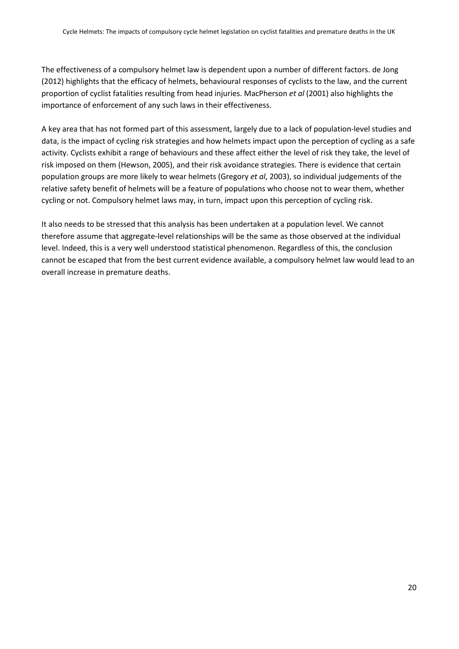The effectiveness of a compulsory helmet law is dependent upon a number of different factors. de Jong (2012) highlights that the efficacy of helmets, behavioural responses of cyclists to the law, and the current proportion of cyclist fatalities resulting from head injuries. MacPherson et al (2001) also highlights the importance of enforcement of any such laws in their effectiveness.

A key area that has not formed part of this assessment, largely due to a lack of population-level studies and data, is the impact of cycling risk strategies and how helmets impact upon the perception of cycling as a safe activity. Cyclists exhibit a range of behaviours and these affect either the level of risk they take, the level of risk imposed on them (Hewson, 2005), and their risk avoidance strategies. There is evidence that certain population groups are more likely to wear helmets (Gregory et al, 2003), so individual judgements of the relative safety benefit of helmets will be a feature of populations who choose not to wear them, whether cycling or not. Compulsory helmet laws may, in turn, impact upon this perception of cycling risk.

It also needs to be stressed that this analysis has been undertaken at a population level. We cannot therefore assume that aggregate-level relationships will be the same as those observed at the individual level. Indeed, this is a very well understood statistical phenomenon. Regardless of this, the conclusion cannot be escaped that from the best current evidence available, a compulsory helmet law would lead to an overall increase in premature deaths.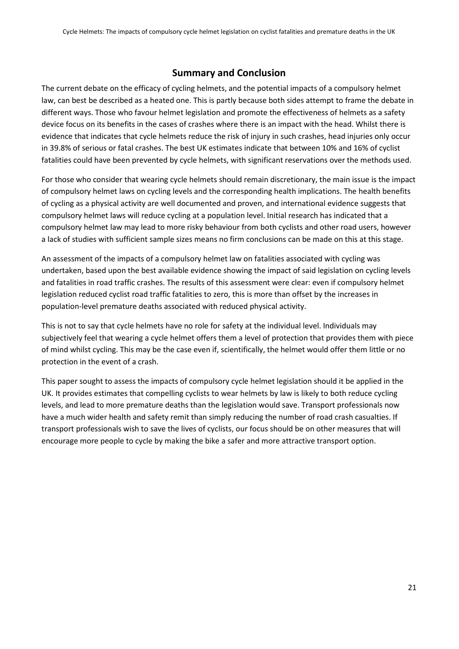# Summary and Conclusion

The current debate on the efficacy of cycling helmets, and the potential impacts of a compulsory helmet law, can best be described as a heated one. This is partly because both sides attempt to frame the debate in different ways. Those who favour helmet legislation and promote the effectiveness of helmets as a safety device focus on its benefits in the cases of crashes where there is an impact with the head. Whilst there is evidence that indicates that cycle helmets reduce the risk of injury in such crashes, head injuries only occur in 39.8% of serious or fatal crashes. The best UK estimates indicate that between 10% and 16% of cyclist fatalities could have been prevented by cycle helmets, with significant reservations over the methods used.

For those who consider that wearing cycle helmets should remain discretionary, the main issue is the impact of compulsory helmet laws on cycling levels and the corresponding health implications. The health benefits of cycling as a physical activity are well documented and proven, and international evidence suggests that compulsory helmet laws will reduce cycling at a population level. Initial research has indicated that a compulsory helmet law may lead to more risky behaviour from both cyclists and other road users, however a lack of studies with sufficient sample sizes means no firm conclusions can be made on this at this stage.

An assessment of the impacts of a compulsory helmet law on fatalities associated with cycling was undertaken, based upon the best available evidence showing the impact of said legislation on cycling levels and fatalities in road traffic crashes. The results of this assessment were clear: even if compulsory helmet legislation reduced cyclist road traffic fatalities to zero, this is more than offset by the increases in population-level premature deaths associated with reduced physical activity.

This is not to say that cycle helmets have no role for safety at the individual level. Individuals may subjectively feel that wearing a cycle helmet offers them a level of protection that provides them with piece of mind whilst cycling. This may be the case even if, scientifically, the helmet would offer them little or no protection in the event of a crash.

This paper sought to assess the impacts of compulsory cycle helmet legislation should it be applied in the UK. It provides estimates that compelling cyclists to wear helmets by law is likely to both reduce cycling levels, and lead to more premature deaths than the legislation would save. Transport professionals now have a much wider health and safety remit than simply reducing the number of road crash casualties. If transport professionals wish to save the lives of cyclists, our focus should be on other measures that will encourage more people to cycle by making the bike a safer and more attractive transport option.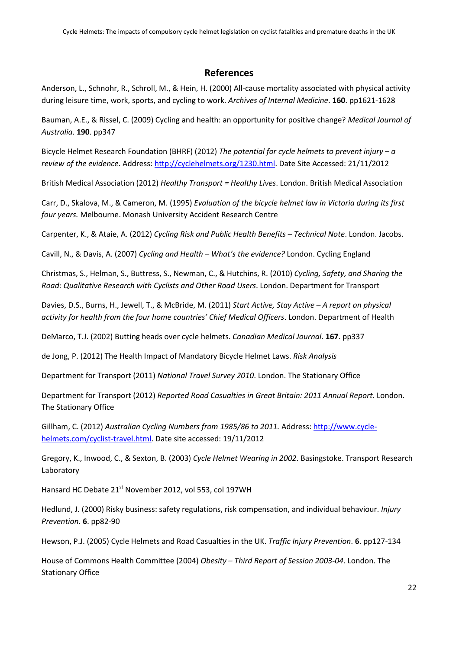## References

Anderson, L., Schnohr, R., Schroll, M., & Hein, H. (2000) All-cause mortality associated with physical activity during leisure time, work, sports, and cycling to work. Archives of Internal Medicine. 160. pp1621-1628

Bauman, A.E., & Rissel, C. (2009) Cycling and health: an opportunity for positive change? Medical Journal of Australia. 190. pp347

Bicycle Helmet Research Foundation (BHRF) (2012) The potential for cycle helmets to prevent injury –  $a$ review of the evidence. Address: http://cyclehelmets.org/1230.html. Date Site Accessed: 21/11/2012

British Medical Association (2012) Healthy Transport = Healthy Lives. London. British Medical Association

Carr, D., Skalova, M., & Cameron, M. (1995) Evaluation of the bicycle helmet law in Victoria during its first four years. Melbourne. Monash University Accident Research Centre

Carpenter, K., & Ataie, A. (2012) Cycling Risk and Public Health Benefits – Technical Note. London. Jacobs.

Cavill, N., & Davis, A. (2007) Cycling and Health – What's the evidence? London. Cycling England

Christmas, S., Helman, S., Buttress, S., Newman, C., & Hutchins, R. (2010) Cycling, Safety, and Sharing the Road: Qualitative Research with Cyclists and Other Road Users. London. Department for Transport

Davies, D.S., Burns, H., Jewell, T., & McBride, M. (2011) Start Active, Stay Active – A report on physical activity for health from the four home countries' Chief Medical Officers. London. Department of Health

DeMarco, T.J. (2002) Butting heads over cycle helmets. Canadian Medical Journal. 167. pp337

de Jong, P. (2012) The Health Impact of Mandatory Bicycle Helmet Laws. Risk Analysis

Department for Transport (2011) National Travel Survey 2010. London. The Stationary Office

Department for Transport (2012) Reported Road Casualties in Great Britain: 2011 Annual Report. London. The Stationary Office

Gillham, C. (2012) Australian Cycling Numbers from 1985/86 to 2011. Address: http://www.cyclehelmets.com/cyclist-travel.html. Date site accessed: 19/11/2012

Gregory, K., Inwood, C., & Sexton, B. (2003) Cycle Helmet Wearing in 2002. Basingstoke. Transport Research Laboratory

Hansard HC Debate 21<sup>st</sup> November 2012, vol 553, col 197WH

Hedlund, J. (2000) Risky business: safety regulations, risk compensation, and individual behaviour. Injury Prevention. 6. pp82-90

Hewson, P.J. (2005) Cycle Helmets and Road Casualties in the UK. Traffic Injury Prevention. 6. pp127-134

House of Commons Health Committee (2004) Obesity – Third Report of Session 2003-04. London. The Stationary Office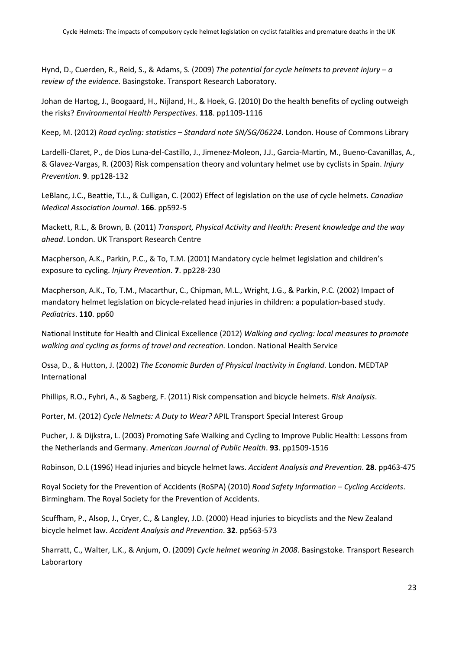Hynd, D., Cuerden, R., Reid, S., & Adams, S. (2009) The potential for cycle helmets to prevent injury – a review of the evidence. Basingstoke. Transport Research Laboratory.

Johan de Hartog, J., Boogaard, H., Nijland, H., & Hoek, G. (2010) Do the health benefits of cycling outweigh the risks? Environmental Health Perspectives. 118. pp1109-1116

Keep, M. (2012) Road cycling: statistics – Standard note SN/SG/06224. London. House of Commons Library

Lardelli-Claret, P., de Dios Luna-del-Castillo, J., Jimenez-Moleon, J.J., Garcia-Martin, M., Bueno-Cavanillas, A., & Glavez-Vargas, R. (2003) Risk compensation theory and voluntary helmet use by cyclists in Spain. Injury Prevention. 9. pp128-132

LeBlanc, J.C., Beattie, T.L., & Culligan, C. (2002) Effect of legislation on the use of cycle helmets. Canadian Medical Association Journal. 166. pp592-5

Mackett, R.L., & Brown, B. (2011) Transport, Physical Activity and Health: Present knowledge and the way ahead. London. UK Transport Research Centre

Macpherson, A.K., Parkin, P.C., & To, T.M. (2001) Mandatory cycle helmet legislation and children's exposure to cycling. Injury Prevention. 7. pp228-230

Macpherson, A.K., To, T.M., Macarthur, C., Chipman, M.L., Wright, J.G., & Parkin, P.C. (2002) Impact of mandatory helmet legislation on bicycle-related head injuries in children: a population-based study. Pediatrics. 110. pp60

National Institute for Health and Clinical Excellence (2012) Walking and cycling: local measures to promote walking and cycling as forms of travel and recreation. London. National Health Service

Ossa, D., & Hutton, J. (2002) The Economic Burden of Physical Inactivity in England. London. MEDTAP International

Phillips, R.O., Fyhri, A., & Sagberg, F. (2011) Risk compensation and bicycle helmets. Risk Analysis.

Porter, M. (2012) Cycle Helmets: A Duty to Wear? APIL Transport Special Interest Group

Pucher, J. & Dijkstra, L. (2003) Promoting Safe Walking and Cycling to Improve Public Health: Lessons from the Netherlands and Germany. American Journal of Public Health. 93. pp1509-1516

Robinson, D.L (1996) Head injuries and bicycle helmet laws. Accident Analysis and Prevention. 28. pp463-475

Royal Society for the Prevention of Accidents (RoSPA) (2010) Road Safety Information – Cycling Accidents. Birmingham. The Royal Society for the Prevention of Accidents.

Scuffham, P., Alsop, J., Cryer, C., & Langley, J.D. (2000) Head injuries to bicyclists and the New Zealand bicycle helmet law. Accident Analysis and Prevention. 32. pp563-573

Sharratt, C., Walter, L.K., & Anjum, O. (2009) Cycle helmet wearing in 2008. Basingstoke. Transport Research Laborartory